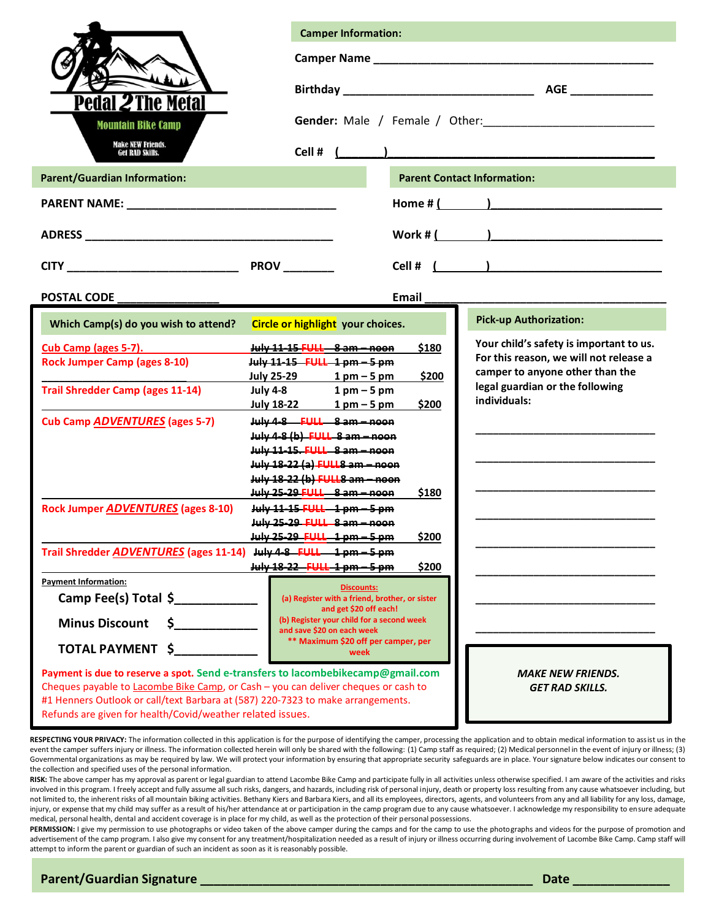|                                                                                    | <b>Camper Information:</b>                                                      |                                                                    |  |  |  |  |
|------------------------------------------------------------------------------------|---------------------------------------------------------------------------------|--------------------------------------------------------------------|--|--|--|--|
|                                                                                    |                                                                                 |                                                                    |  |  |  |  |
|                                                                                    |                                                                                 |                                                                    |  |  |  |  |
|                                                                                    |                                                                                 |                                                                    |  |  |  |  |
| Pedal <i>2</i> The Metal                                                           |                                                                                 |                                                                    |  |  |  |  |
| <b>Mountain Bike Camp</b>                                                          |                                                                                 |                                                                    |  |  |  |  |
| <b>Make NEW Friends.</b><br><b>Get RAD Skills.</b>                                 |                                                                                 |                                                                    |  |  |  |  |
| <b>Parent/Guardian Information:</b>                                                | <b>Parent Contact Information:</b>                                              |                                                                    |  |  |  |  |
|                                                                                    | Home # (                                                                        |                                                                    |  |  |  |  |
|                                                                                    |                                                                                 |                                                                    |  |  |  |  |
|                                                                                    | $Work # ($                                                                      |                                                                    |  |  |  |  |
|                                                                                    |                                                                                 |                                                                    |  |  |  |  |
|                                                                                    |                                                                                 |                                                                    |  |  |  |  |
| <b>POSTAL CODE</b>                                                                 | Email                                                                           |                                                                    |  |  |  |  |
| Which Camp(s) do you wish to attend?                                               | Circle or highlight your choices.                                               | <b>Pick-up Authorization:</b>                                      |  |  |  |  |
| Cub Camp (ages 5-7).                                                               | July 11-15 FULL 8 am - noon<br>\$180                                            | Your child's safety is important to us.                            |  |  |  |  |
| <b>Rock Jumper Camp (ages 8-10)</b>                                                | July 11-15 FULL 1 pm - 5 pm                                                     | For this reason, we will not release a                             |  |  |  |  |
|                                                                                    | July 25-29 1 pm - 5 pm<br>\$200                                                 | camper to anyone other than the<br>legal guardian or the following |  |  |  |  |
| <b>Trail Shredder Camp (ages 11-14)</b>                                            | July 4-8 1 pm - 5 pm<br>\$200                                                   | individuals:                                                       |  |  |  |  |
| <b>Cub Camp ADVENTURES (ages 5-7)</b>                                              | July $18-22$ 1 pm $-5$ pm<br>July 4-8 FULL 8 am - noon                          |                                                                    |  |  |  |  |
|                                                                                    | July 4-8 (b) FULL 8 am - noon                                                   |                                                                    |  |  |  |  |
|                                                                                    | July 11-15. FULL 8 am - noon                                                    |                                                                    |  |  |  |  |
|                                                                                    | July 18-22 (a) FULL8 am - noon                                                  |                                                                    |  |  |  |  |
|                                                                                    | July 18-22 (b) FULL8 am - noon                                                  |                                                                    |  |  |  |  |
|                                                                                    | July 25-29 FULL 8 am - noon<br>\$180                                            |                                                                    |  |  |  |  |
| <b>Rock Jumper ADVENTURES (ages 8-10)</b>                                          | July 11-15 FULL 1 pm - 5 pm                                                     |                                                                    |  |  |  |  |
|                                                                                    | July 25-29 FULL 8 am - noon                                                     |                                                                    |  |  |  |  |
|                                                                                    | \$200<br>July 25-29 FULL 1 pm - 5<br><del>1 pm</del>                            |                                                                    |  |  |  |  |
| Trail Shredder ADVENTURES (ages 11-14)                                             | July 4-8 FULL<br><u> 1 nm – 5 nm</u><br>$\mu$ ww 18-22 - FULL 1 pm $-5$ pm      |                                                                    |  |  |  |  |
| <b>Payment Information:</b>                                                        | \$200                                                                           |                                                                    |  |  |  |  |
| Camp Fee(s) Total \$                                                               | Discounts:<br>(a) Register with a friend, brother, or sister                    |                                                                    |  |  |  |  |
|                                                                                    | and get \$20 off each!<br>(b) Register your child for a second week             |                                                                    |  |  |  |  |
| <b>Minus Discount</b><br>\$.                                                       | and save \$20 on each week                                                      |                                                                    |  |  |  |  |
| TOTAL PAYMENT \$                                                                   | ** Maximum \$20 off per camper, per<br>week                                     |                                                                    |  |  |  |  |
|                                                                                    | Payment is due to reserve a spot. Send e-transfers to lacombebikecamp@gmail.com | <b>MAKE NEW FRIENDS.</b>                                           |  |  |  |  |
| Cheques payable to Lacombe Bike Camp, or Cash - you can deliver cheques or cash to |                                                                                 | <b>GET RAD SKILLS.</b>                                             |  |  |  |  |
| #1 Henners Outlook or call/text Barbara at (587) 220-7323 to make arrangements.    |                                                                                 |                                                                    |  |  |  |  |
| Refunds are given for health/Covid/weather related issues.                         |                                                                                 |                                                                    |  |  |  |  |

RESPECTING YOUR PRIVACY: The information collected in this application is for the purpose of identifying the camper, processing the application and to obtain medical information to assist us in the event the camper suffers injury or illness. The information collected herein will only be shared with the following: (1) Camp staff as required; (2) Medical personnel in the event of injury or illness; (3) Governmental organizations as may be required by law. We will protect your information by ensuring that appropriate security safeguards are in place. Your signature below indicates our consent to the collection and specified uses of the personal information.

RISK: The above camper has my approval as parent or legal guardian to attend Lacombe Bike Camp and participate fully in all activities unless otherwise specified. I am aware of the activities and risks involved in this program. I freely accept and fully assume all such risks, dangers, and hazards, including risk of personal injury, death or property loss resulting from any cause whatsoever including, but not limited to, the inherent risks of all mountain biking activities. Bethany Kiers and Barbara Kiers, and all its employees, directors, agents, and volunteers from any and all liability for any loss, damage, injury, or expense that my child may suffer as a result of his/her attendance at or participation in the camp program due to any cause whatsoever. I acknowledge my responsibility to ensure adequate medical, personal health, dental and accident coverage is in place for my child, as well as the protection of their personal possessions.

PERMISSION: I give my permission to use photographs or video taken of the above camper during the camps and for the camp to use the photographs and videos for the purpose of promotion and advertisement of the camp program. I also give my consent for any treatment/hospitalization needed as a result of injury or illness occurring during involvement of Lacombe Bike Camp. Camp staff will attempt to inform the parent or guardian of such an incident as soon as it is reasonably possible.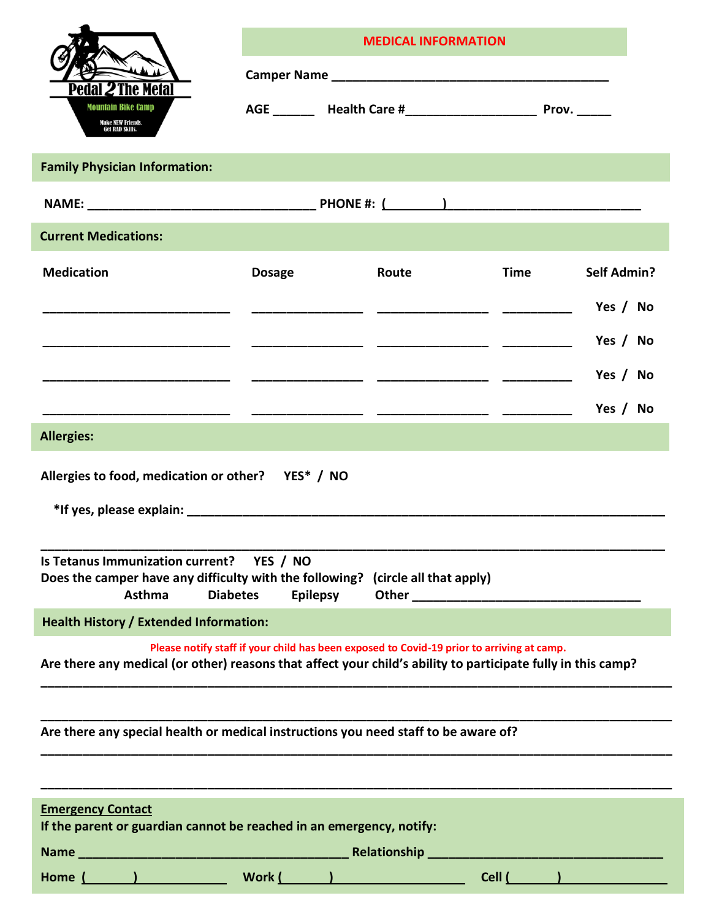|                                                                                                                                                                                              |                                                                                           | <b>MEDICAL INFORMATION</b> |             |                    |  |  |
|----------------------------------------------------------------------------------------------------------------------------------------------------------------------------------------------|-------------------------------------------------------------------------------------------|----------------------------|-------------|--------------------|--|--|
|                                                                                                                                                                                              |                                                                                           |                            |             |                    |  |  |
| lai 2 The Metal<br>Mountain Bike Camp<br><b>Make NEW Friends.</b><br>Get RAD Skills.                                                                                                         |                                                                                           |                            |             |                    |  |  |
| <b>Family Physician Information:</b>                                                                                                                                                         |                                                                                           |                            |             |                    |  |  |
|                                                                                                                                                                                              |                                                                                           |                            |             |                    |  |  |
| <b>Current Medications:</b>                                                                                                                                                                  |                                                                                           |                            |             |                    |  |  |
| <b>Medication</b>                                                                                                                                                                            | <b>Dosage</b>                                                                             | Route                      | <b>Time</b> | <b>Self Admin?</b> |  |  |
|                                                                                                                                                                                              |                                                                                           |                            |             | Yes / No           |  |  |
|                                                                                                                                                                                              |                                                                                           |                            |             | Yes / No           |  |  |
|                                                                                                                                                                                              |                                                                                           |                            |             | Yes / No           |  |  |
|                                                                                                                                                                                              |                                                                                           |                            |             | Yes / No           |  |  |
| <b>Allergies:</b>                                                                                                                                                                            |                                                                                           |                            |             |                    |  |  |
| Allergies to food, medication or other? YES* / NO<br>Is Tetanus Immunization current?  YES / NO<br>Does the camper have any difficulty with the following? (circle all that apply)<br>Asthma | <b>Diabetes</b><br><b>Epilepsy</b>                                                        |                            |             |                    |  |  |
| <b>Health History / Extended Information:</b>                                                                                                                                                |                                                                                           |                            |             |                    |  |  |
| Are there any medical (or other) reasons that affect your child's ability to participate fully in this camp?                                                                                 | Please notify staff if your child has been exposed to Covid-19 prior to arriving at camp. |                            |             |                    |  |  |
| Are there any special health or medical instructions you need staff to be aware of?                                                                                                          |                                                                                           |                            |             |                    |  |  |
| <b>Emergency Contact</b><br>If the parent or guardian cannot be reached in an emergency, notify:                                                                                             |                                                                                           |                            |             |                    |  |  |
|                                                                                                                                                                                              |                                                                                           |                            |             |                    |  |  |
|                                                                                                                                                                                              |                                                                                           |                            |             |                    |  |  |